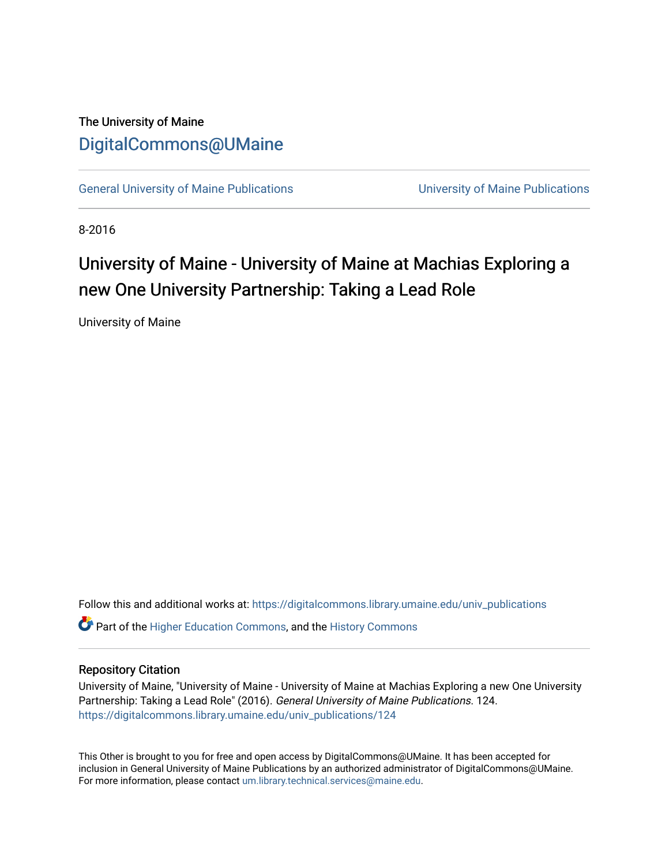#### The University of Maine [DigitalCommons@UMaine](https://digitalcommons.library.umaine.edu/)

[General University of Maine Publications](https://digitalcommons.library.umaine.edu/univ_publications) [University of Maine Publications](https://digitalcommons.library.umaine.edu/umaine_publications) 

8-2016

#### University of Maine - University of Maine at Machias Exploring a new One University Partnership: Taking a Lead Role

University of Maine

Follow this and additional works at: [https://digitalcommons.library.umaine.edu/univ\\_publications](https://digitalcommons.library.umaine.edu/univ_publications?utm_source=digitalcommons.library.umaine.edu%2Funiv_publications%2F124&utm_medium=PDF&utm_campaign=PDFCoverPages) 

**C** Part of the [Higher Education Commons,](http://network.bepress.com/hgg/discipline/1245?utm_source=digitalcommons.library.umaine.edu%2Funiv_publications%2F124&utm_medium=PDF&utm_campaign=PDFCoverPages) and the [History Commons](http://network.bepress.com/hgg/discipline/489?utm_source=digitalcommons.library.umaine.edu%2Funiv_publications%2F124&utm_medium=PDF&utm_campaign=PDFCoverPages)

#### Repository Citation

University of Maine, "University of Maine - University of Maine at Machias Exploring a new One University Partnership: Taking a Lead Role" (2016). General University of Maine Publications. 124. [https://digitalcommons.library.umaine.edu/univ\\_publications/124](https://digitalcommons.library.umaine.edu/univ_publications/124?utm_source=digitalcommons.library.umaine.edu%2Funiv_publications%2F124&utm_medium=PDF&utm_campaign=PDFCoverPages) 

This Other is brought to you for free and open access by DigitalCommons@UMaine. It has been accepted for inclusion in General University of Maine Publications by an authorized administrator of DigitalCommons@UMaine. For more information, please contact [um.library.technical.services@maine.edu](mailto:um.library.technical.services@maine.edu).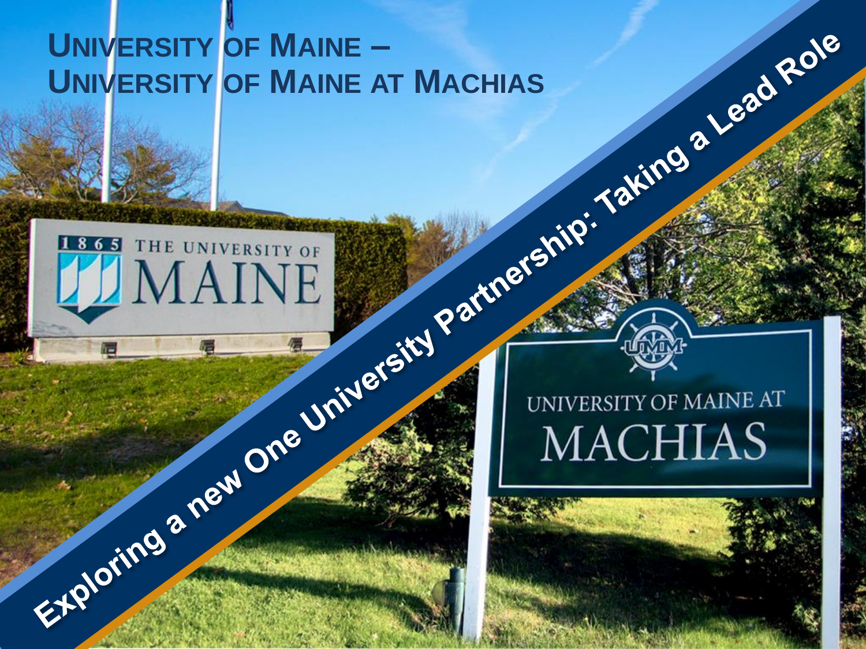#### **UNIVERSITY** OF MAINE – **UNIVERSITY OF MAINE AT MACHIAS**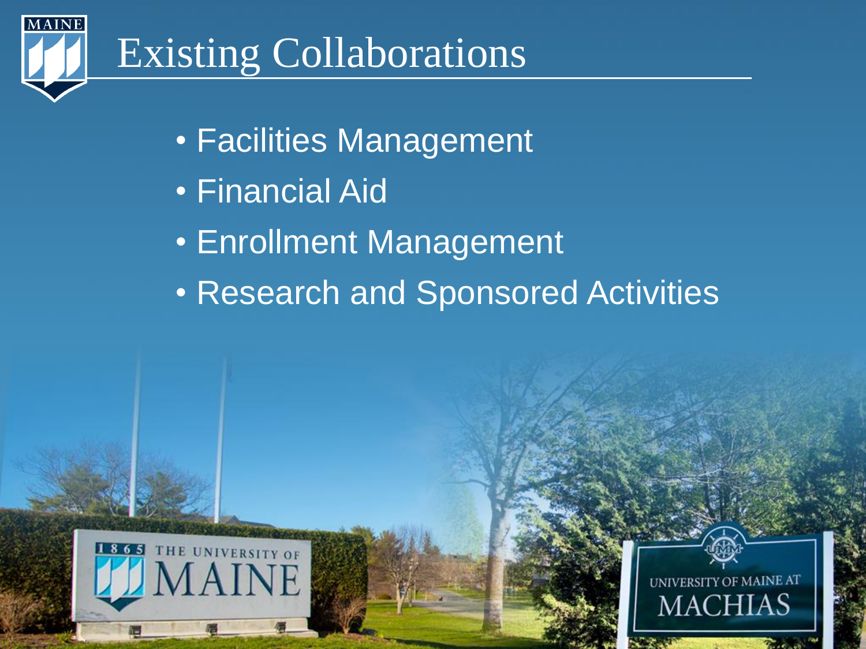

# Existing Collaborations

- Facilities Management
- Financial Aid
- Enrollment Management
- Research and Sponsored Activities



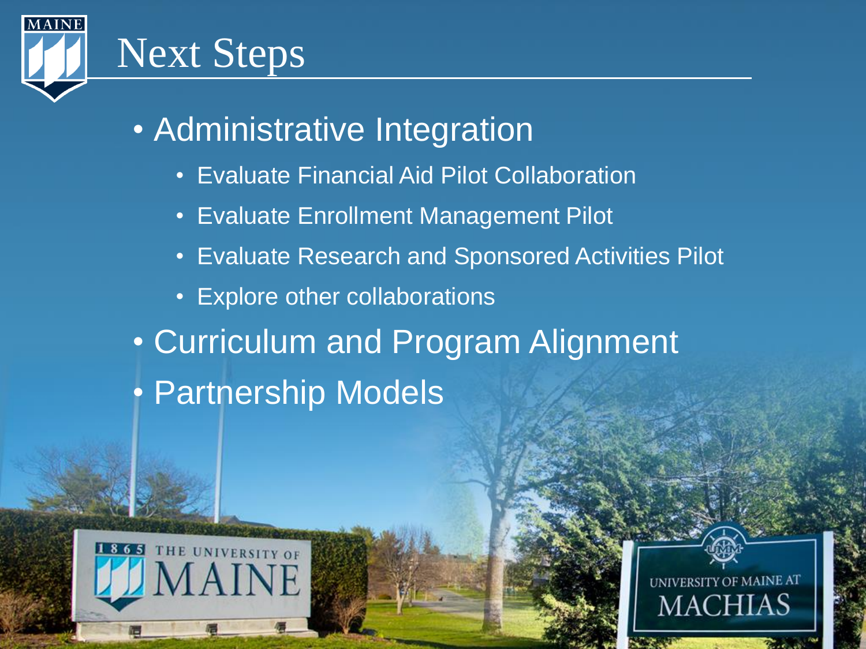

#### • Administrative Integration

- Evaluate Financial Aid Pilot Collaboration
- Evaluate Enrollment Management Pilot
- Evaluate Research and Sponsored Activities Pilot
- Explore other collaborations
- Curriculum and Program Alignment • Partnership Models



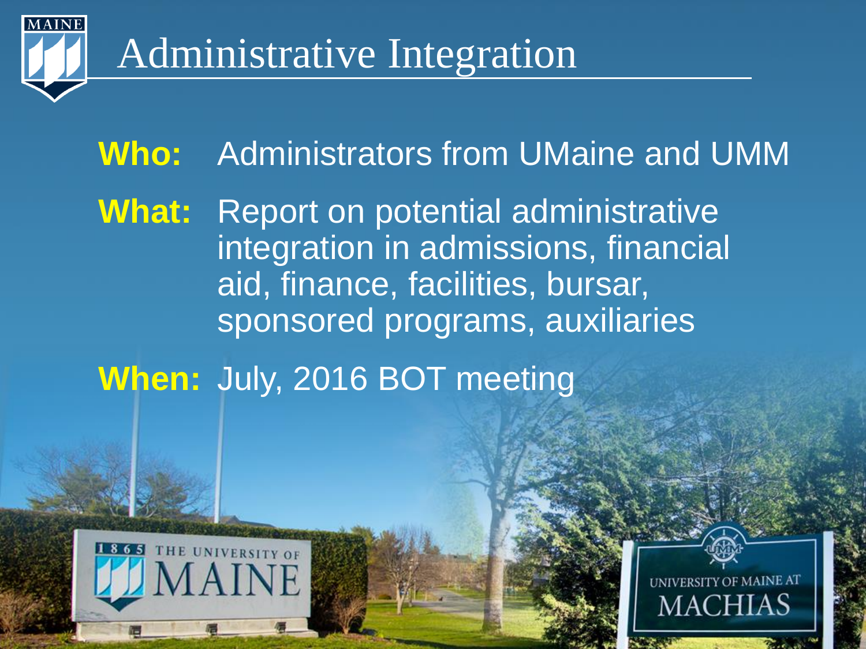

#### Administrative Integration

### **Who:** Administrators from UMaine and UMM **What:** Report on potential administrative integration in admissions, financial

aid, finance, facilities, bursar, sponsored programs, auxiliaries

#### **When:** July, 2016 BOT meeting



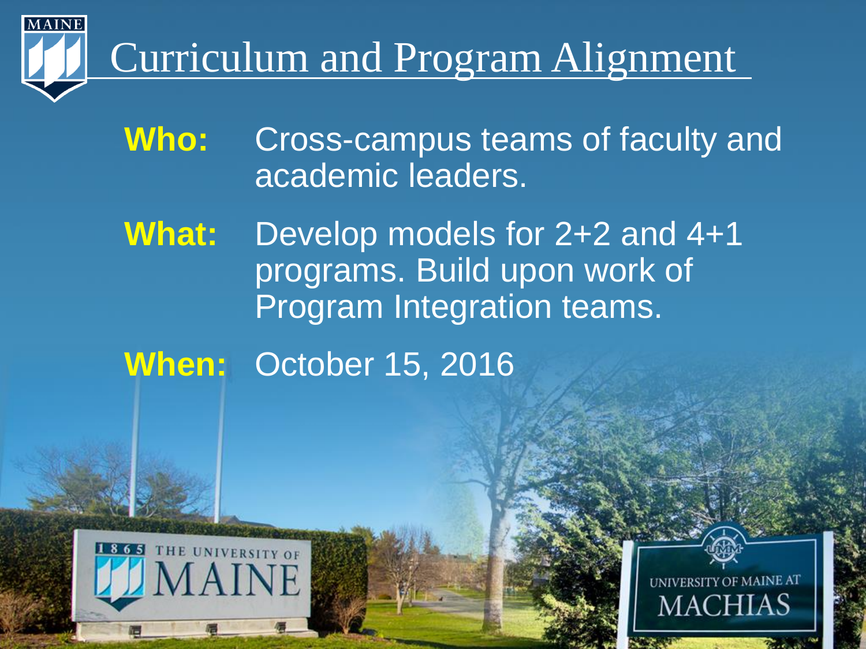

# Curriculum and Program Alignment

#### **Who:** Cross-campus teams of faculty and academic leaders.

**What:** Develop models for 2+2 and 4+1 programs. Build upon work of Program Integration teams.

**When:** October 15, 2016



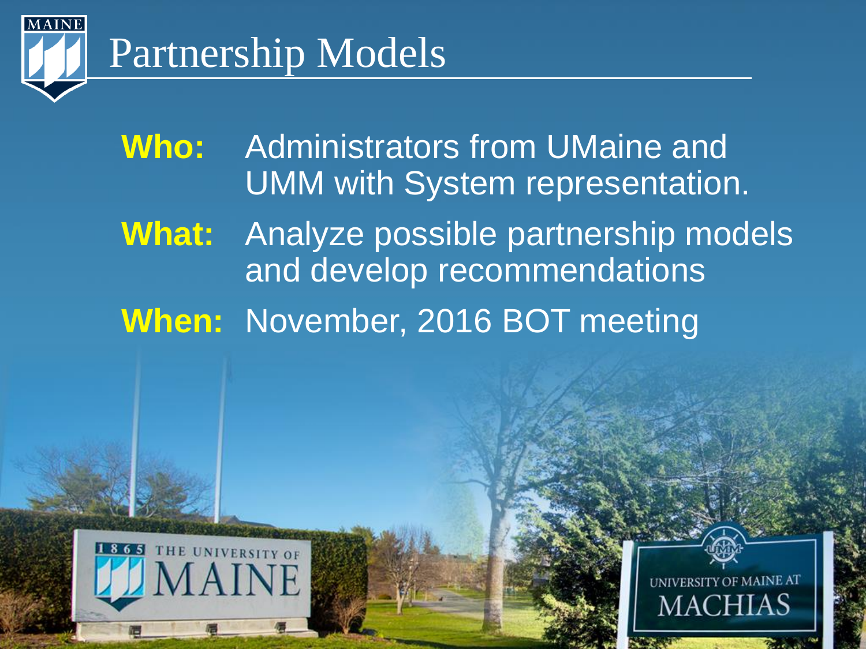

## Partnership Models

**Who:** Administrators from UMaine and UMM with System representation.

**What:** Analyze possible partnership models and develop recommendations

**When:** November, 2016 BOT meeting



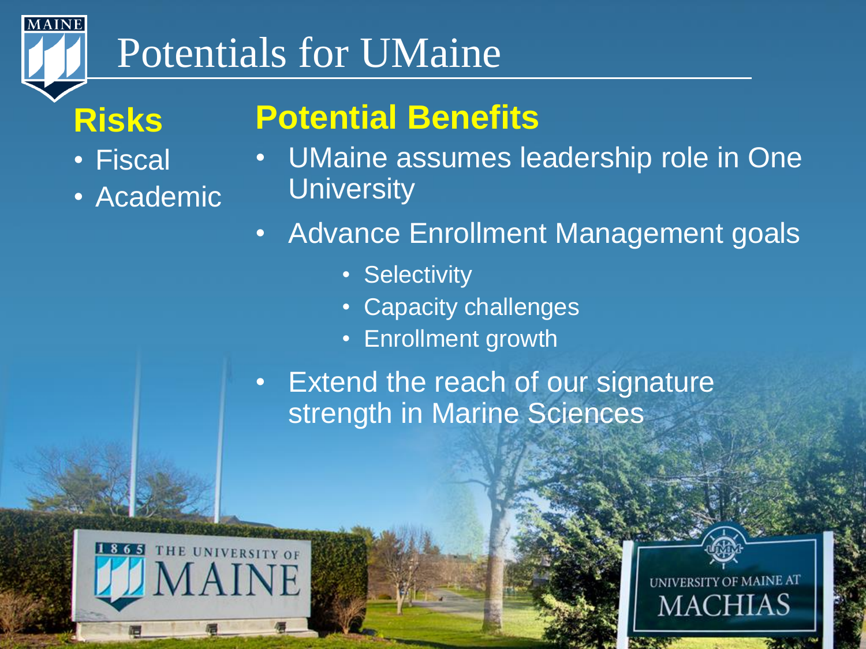

## Potentials for UMaine

#### **Risks**

- Fiscal
- Academic

#### **Potential Benefits**

- UMaine assumes leadership role in One **University**
- Advance Enrollment Management goals
	- Selectivity
	- Capacity challenges
	- Enrollment growth
- Extend the reach of our signature strength in Marine Sciences